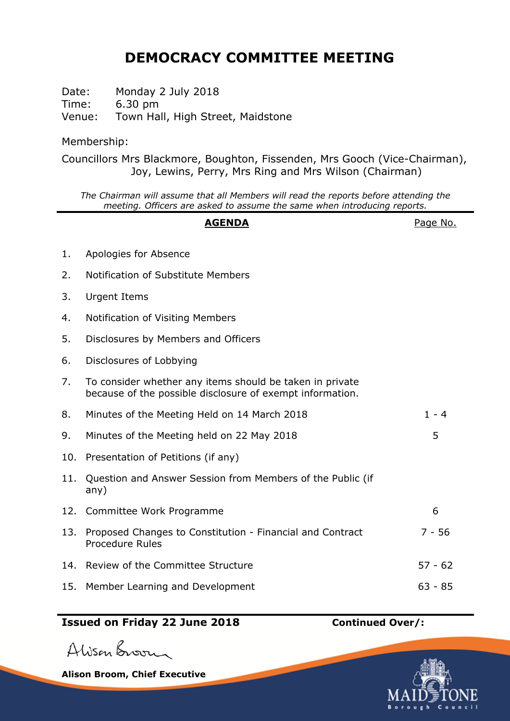## **DEMOCRACY COMMITTEE MEETING**

Date: Monday 2 July 2018 Time: 6.30 pm Venue: Town Hall, High Street, Maidstone

Membership:

Councillors Mrs Blackmore, Boughton, Fissenden, Mrs Gooch (Vice-Chairman), Joy, Lewins, Perry, Mrs Ring and Mrs Wilson (Chairman)

*The Chairman will assume that all Members will read the reports before attending the meeting. Officers are asked to assume the same when introducing reports.*

## AGENDA **AGENDA**Page No. 1. Apologies for Absence 2. Notification of Substitute Members 3. Urgent Items 4. Notification of Visiting Members 5. Disclosures by Members and Officers 6. Disclosures of Lobbying 7. To consider whether any items should be taken in private because of the possible disclosure of exempt information. 8. Minutes of the Meeting Held on 14 March 2018 1 - 4 9. Minutes of the Meeting held on 22 May 2018 10. Presentation of Petitions (if any) 11. Question and Answer Session from Members of the Public (if any) 12. Committee Work Programme 6 13. Proposed Changes to Constitution - Financial and Contract Procedure Rules 7 - 56 14. Review of the Committee Structure 14. Solution 14. Structure 57 - 62

15. Member Learning and Development 63 - 85

## **Issued on Friday 22 June 2018 Continued Over/:**

Alison Broom

**Alison Broom, Chief Executive**